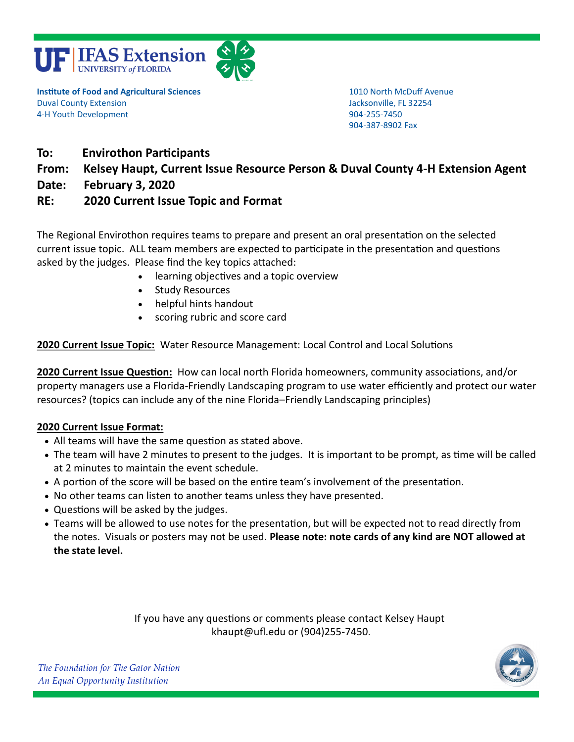



**Institute of Food and Agricultural Sciences** 1010 North McDuff Avenue Duval County Extension Jacksonville, FL 32254 4-H Youth Development 904-255-7450

904-387-8902 Fax

- **To: Envirothon Participants**
- **From: Kelsey Haupt, Current Issue Resource Person & Duval County 4-H Extension Agent**
- **Date: February 3, 2020**

## **RE: 2020 Current Issue Topic and Format**

The Regional Envirothon requires teams to prepare and present an oral presentation on the selected current issue topic. ALL team members are expected to participate in the presentation and questions asked by the judges. Please find the key topics attached:

- learning objectives and a topic overview
- Study Resources
- helpful hints handout
- scoring rubric and score card

## **2020 Current Issue Topic:** Water Resource Management: Local Control and Local Solutions

**2020 Current Issue Question:** How can local north Florida homeowners, community associations, and/or property managers use a Florida-Friendly Landscaping program to use water efficiently and protect our water resources? (topics can include any of the nine Florida–Friendly Landscaping principles)

### **2020 Current Issue Format:**

- All teams will have the same question as stated above.
- The team will have 2 minutes to present to the judges. It is important to be prompt, as time will be called at 2 minutes to maintain the event schedule.
- A portion of the score will be based on the entire team's involvement of the presentation.
- No other teams can listen to another teams unless they have presented.
- Questions will be asked by the judges.
- Teams will be allowed to use notes for the presentation, but will be expected not to read directly from the notes. Visuals or posters may not be used. **Please note: note cards of any kind are NOT allowed at the state level.**

If you have any questions or comments please contact Kelsey Haupt khaupt@ufl.edu or (904)255-7450.



*The Foundation for The Gator Nation An Equal Opportunity Institution*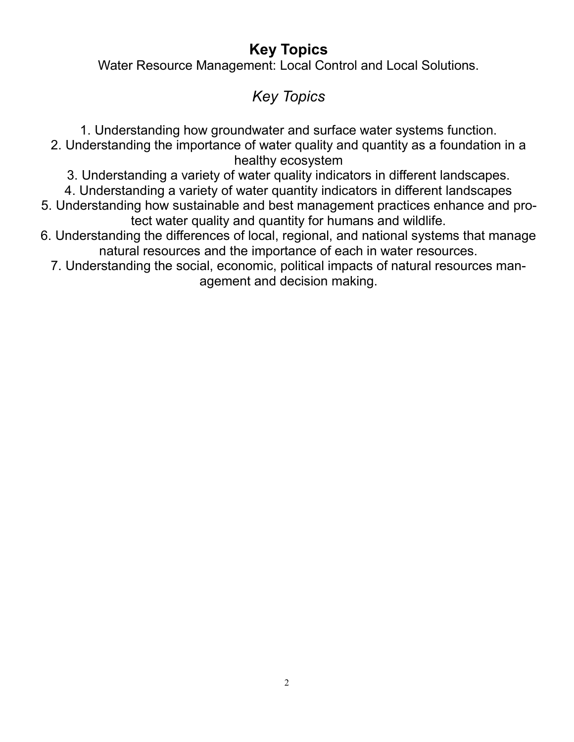# **Key Topics**

Water Resource Management: Local Control and Local Solutions.

# *Key Topics*

- 1. Understanding how groundwater and surface water systems function.
- 2. Understanding the importance of water quality and quantity as a foundation in a healthy ecosystem
	- 3. Understanding a variety of water quality indicators in different landscapes.
	- 4. Understanding a variety of water quantity indicators in different landscapes
- 5. Understanding how sustainable and best management practices enhance and protect water quality and quantity for humans and wildlife.
- 6. Understanding the differences of local, regional, and national systems that manage natural resources and the importance of each in water resources.
	- 7. Understanding the social, economic, political impacts of natural resources management and decision making.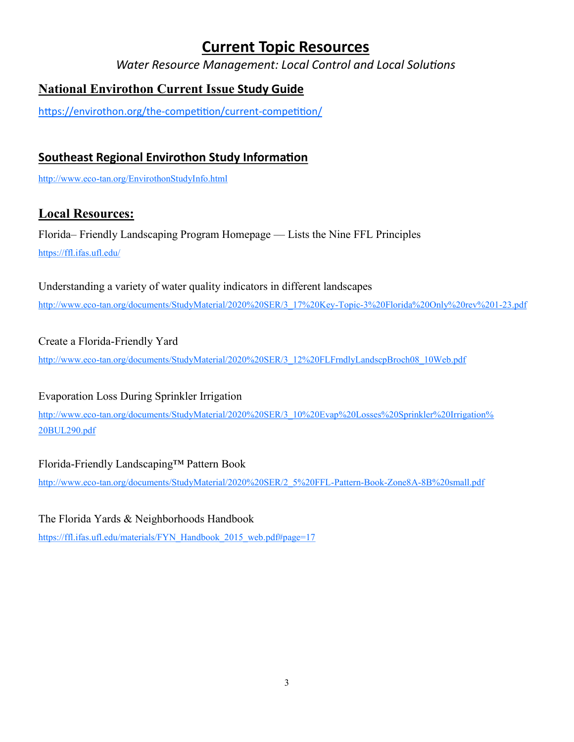# **Current Topic Resources**

*Water Resource Management: Local Control and Local Solutions*

# **National Envirothon Current Issue Study Guide**

[https://envirothon.org/the](https://envirothon.org/the-competition/current-competition/)-competition/current-competition/

## **Southeast Regional Envirothon Study Information**

http://www.eco-[tan.org/EnvirothonStudyInfo.html](http://www.eco-tan.org/EnvirothonStudyInfo.html)

## **Local Resources:**

Florida– Friendly Landscaping Program Homepage — Lists the Nine FFL Principles <https://ffl.ifas.ufl.edu/>

Understanding a variety of water quality indicators in different landscapes http://www.eco-[tan.org/documents/StudyMaterial/2020%20SER/3\\_17%20Key](http://www.eco-tan.org/documents/StudyMaterial/2020%20SER/3_17%20Key-Topic-3%20Florida%20Only%20rev%201-23.pdf)-Topic-3%20Florida%20Only%20rev%201-23.pdf

## Create a Florida-Friendly Yard

http://www.eco-[tan.org/documents/StudyMaterial/2020%20SER/3\\_12%20FLFrndlyLandscpBroch08\\_10Web.pdf](http://www.eco-tan.org/documents/StudyMaterial/2020%20SER/3_12%20FLFrndlyLandscpBroch08_10Web.pdf)

## Evaporation Loss During Sprinkler Irrigation

http://www.eco-[tan.org/documents/StudyMaterial/2020%20SER/3\\_10%20Evap%20Losses%20Sprinkler%20Irrigation%](http://www.eco-tan.org/documents/StudyMaterial/2020%20SER/3_10%20Evap%20Losses%20Sprinkler%20Irrigation%20BUL290.pdf) [20BUL290.pdf](http://www.eco-tan.org/documents/StudyMaterial/2020%20SER/3_10%20Evap%20Losses%20Sprinkler%20Irrigation%20BUL290.pdf) 

## Florida-Friendly Landscaping™ Pattern Book

http://www.eco-[tan.org/documents/StudyMaterial/2020%20SER/2\\_5%20FFL](http://www.eco-tan.org/documents/StudyMaterial/2020%20SER/2_5%20FFL-Pattern-Book-Zone8A-8B%20small.pdf)-Pattern-Book-Zone8A-8B%20small.pdf

The Florida Yards & Neighborhoods Handbook [https://ffl.ifas.ufl.edu/materials/FYN\\_Handbook\\_2015\\_web.pdf#page=17](https://ffl.ifas.ufl.edu/materials/FYN_Handbook_2015_web.pdf#page=17)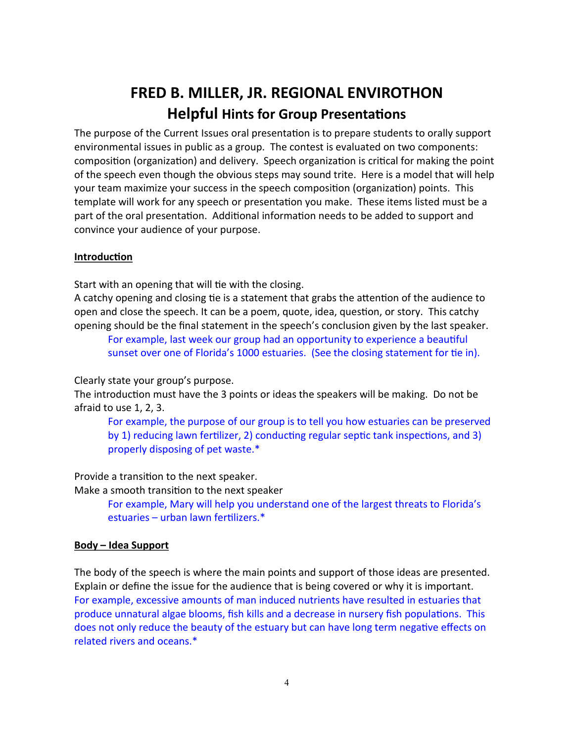# **FRED B. MILLER, JR. REGIONAL ENVIROTHON Helpful Hints for Group Presentations**

The purpose of the Current Issues oral presentation is to prepare students to orally support environmental issues in public as a group. The contest is evaluated on two components: composition (organization) and delivery. Speech organization is critical for making the point of the speech even though the obvious steps may sound trite. Here is a model that will help your team maximize your success in the speech composition (organization) points. This template will work for any speech or presentation you make. These items listed must be a part of the oral presentation. Additional information needs to be added to support and convince your audience of your purpose.

### **Introduction**

Start with an opening that will tie with the closing.

A catchy opening and closing tie is a statement that grabs the attention of the audience to open and close the speech. It can be a poem, quote, idea, question, or story. This catchy opening should be the final statement in the speech's conclusion given by the last speaker.

For example, last week our group had an opportunity to experience a beautiful sunset over one of Florida's 1000 estuaries. (See the closing statement for tie in).

Clearly state your group's purpose.

The introduction must have the 3 points or ideas the speakers will be making. Do not be afraid to use 1, 2, 3.

For example, the purpose of our group is to tell you how estuaries can be preserved by 1) reducing lawn fertilizer, 2) conducting regular septic tank inspections, and 3) properly disposing of pet waste.\*

Provide a transition to the next speaker.

Make a smooth transition to the next speaker

For example, Mary will help you understand one of the largest threats to Florida's estuaries – urban lawn fertilizers.\*

### **Body – Idea Support**

The body of the speech is where the main points and support of those ideas are presented. Explain or define the issue for the audience that is being covered or why it is important. For example, excessive amounts of man induced nutrients have resulted in estuaries that produce unnatural algae blooms, fish kills and a decrease in nursery fish populations. This does not only reduce the beauty of the estuary but can have long term negative effects on related rivers and oceans.\*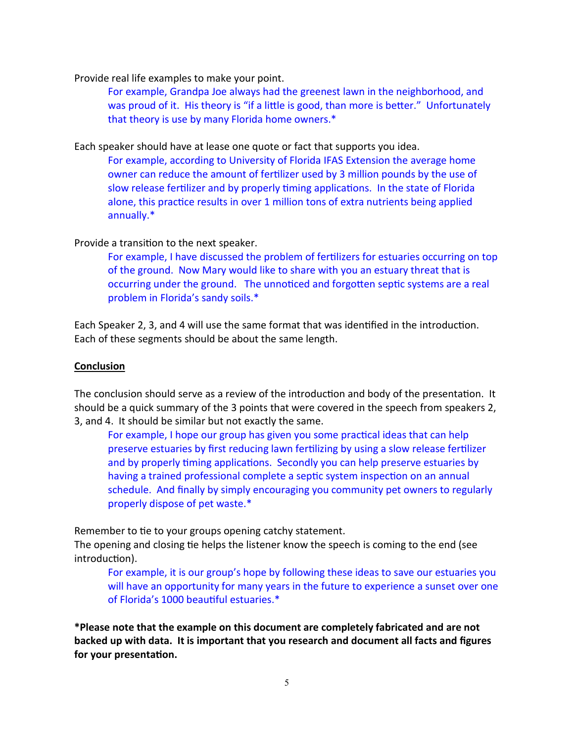Provide real life examples to make your point.

For example, Grandpa Joe always had the greenest lawn in the neighborhood, and was proud of it. His theory is "if a little is good, than more is better." Unfortunately that theory is use by many Florida home owners.\*

Each speaker should have at lease one quote or fact that supports you idea.

For example, according to University of Florida IFAS Extension the average home owner can reduce the amount of fertilizer used by 3 million pounds by the use of slow release fertilizer and by properly timing applications. In the state of Florida alone, this practice results in over 1 million tons of extra nutrients being applied annually.\*

### Provide a transition to the next speaker.

For example, I have discussed the problem of fertilizers for estuaries occurring on top of the ground. Now Mary would like to share with you an estuary threat that is occurring under the ground. The unnoticed and forgotten septic systems are a real problem in Florida's sandy soils.\*

Each Speaker 2, 3, and 4 will use the same format that was identified in the introduction. Each of these segments should be about the same length.

### **Conclusion**

The conclusion should serve as a review of the introduction and body of the presentation. It should be a quick summary of the 3 points that were covered in the speech from speakers 2, 3, and 4. It should be similar but not exactly the same.

For example, I hope our group has given you some practical ideas that can help preserve estuaries by first reducing lawn fertilizing by using a slow release fertilizer and by properly timing applications. Secondly you can help preserve estuaries by having a trained professional complete a septic system inspection on an annual schedule. And finally by simply encouraging you community pet owners to regularly properly dispose of pet waste.\*

Remember to tie to your groups opening catchy statement.

The opening and closing tie helps the listener know the speech is coming to the end (see introduction).

For example, it is our group's hope by following these ideas to save our estuaries you will have an opportunity for many years in the future to experience a sunset over one of Florida's 1000 beautiful estuaries.\*

**\*Please note that the example on this document are completely fabricated and are not backed up with data. It is important that you research and document all facts and figures for your presentation.**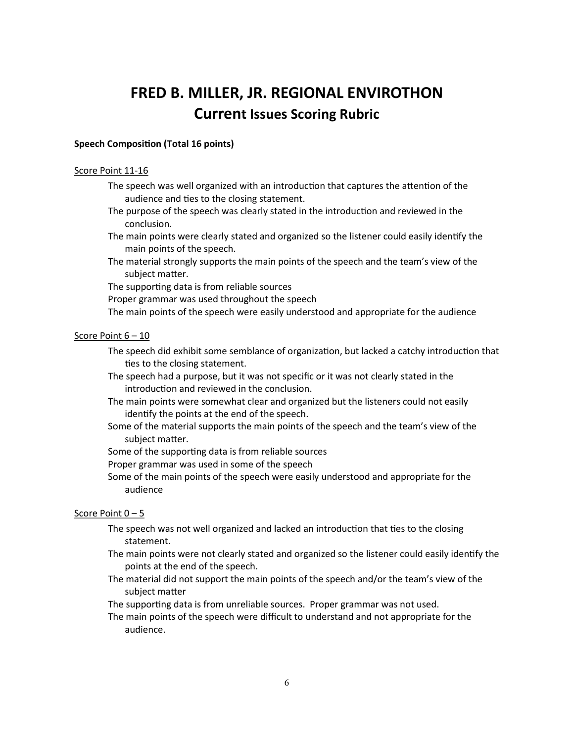# **FRED B. MILLER, JR. REGIONAL ENVIROTHON Current Issues Scoring Rubric**

#### **Speech Composition (Total 16 points)**

#### Score Point 11-16

- The speech was well organized with an introduction that captures the attention of the audience and ties to the closing statement.
- The purpose of the speech was clearly stated in the introduction and reviewed in the conclusion.
- The main points were clearly stated and organized so the listener could easily identify the main points of the speech.
- The material strongly supports the main points of the speech and the team's view of the subject matter.
- The supporting data is from reliable sources
- Proper grammar was used throughout the speech
- The main points of the speech were easily understood and appropriate for the audience

#### Score Point 6 – 10

- The speech did exhibit some semblance of organization, but lacked a catchy introduction that ties to the closing statement.
- The speech had a purpose, but it was not specific or it was not clearly stated in the introduction and reviewed in the conclusion.
- The main points were somewhat clear and organized but the listeners could not easily identify the points at the end of the speech.
- Some of the material supports the main points of the speech and the team's view of the subject matter.
- Some of the supporting data is from reliable sources
- Proper grammar was used in some of the speech
- Some of the main points of the speech were easily understood and appropriate for the audience

#### Score Point 0 – 5

- The speech was not well organized and lacked an introduction that ties to the closing statement.
- The main points were not clearly stated and organized so the listener could easily identify the points at the end of the speech.
- The material did not support the main points of the speech and/or the team's view of the subject matter
- The supporting data is from unreliable sources. Proper grammar was not used.
- The main points of the speech were difficult to understand and not appropriate for the audience.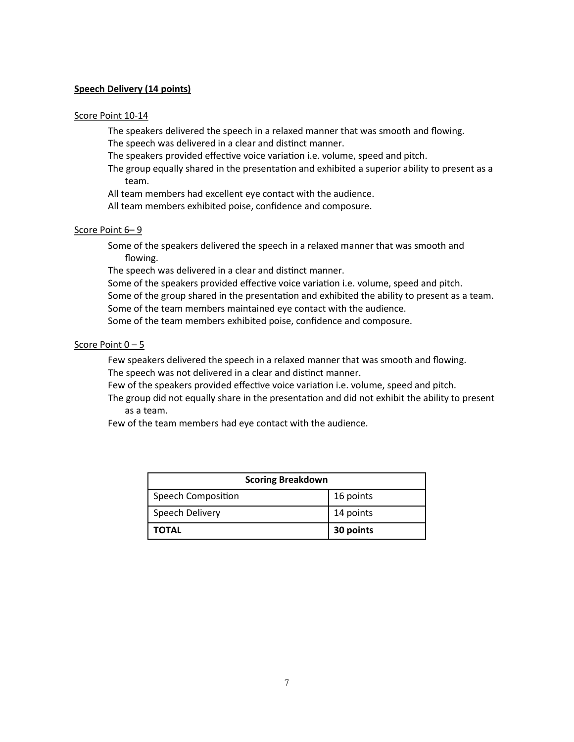#### **Speech Delivery (14 points)**

#### Score Point 10-14

The speakers delivered the speech in a relaxed manner that was smooth and flowing. The speech was delivered in a clear and distinct manner.

The speakers provided effective voice variation i.e. volume, speed and pitch.

The group equally shared in the presentation and exhibited a superior ability to present as a team.

All team members had excellent eye contact with the audience.

All team members exhibited poise, confidence and composure.

#### Score Point 6– 9

Some of the speakers delivered the speech in a relaxed manner that was smooth and flowing.

The speech was delivered in a clear and distinct manner.

Some of the speakers provided effective voice variation i.e. volume, speed and pitch.

Some of the group shared in the presentation and exhibited the ability to present as a team.

Some of the team members maintained eye contact with the audience.

Some of the team members exhibited poise, confidence and composure.

#### Score Point 0 – 5

Few speakers delivered the speech in a relaxed manner that was smooth and flowing. The speech was not delivered in a clear and distinct manner.

Few of the speakers provided effective voice variation i.e. volume, speed and pitch.

The group did not equally share in the presentation and did not exhibit the ability to present as a team.

Few of the team members had eye contact with the audience.

| <b>Scoring Breakdown</b>  |           |  |
|---------------------------|-----------|--|
| <b>Speech Composition</b> | 16 points |  |
| Speech Delivery           | 14 points |  |
| <b>TOTAL</b>              | 30 points |  |